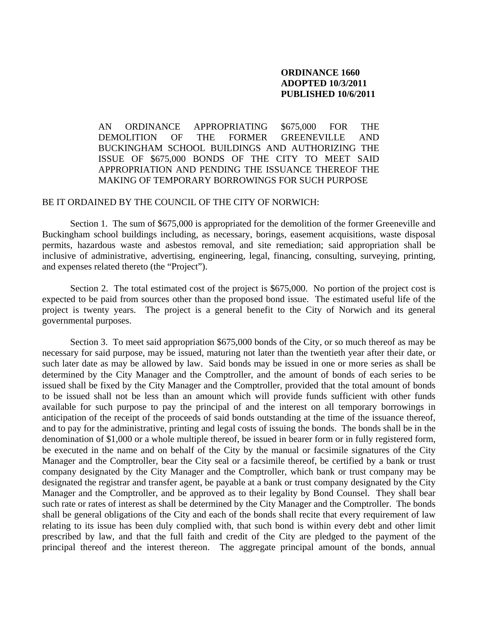## **ORDINANCE 1660 ADOPTED 10/3/2011 PUBLISHED 10/6/2011**

AN ORDINANCE APPROPRIATING \$675,000 FOR THE DEMOLITION OF THE FORMER GREENEVILLE AND BUCKINGHAM SCHOOL BUILDINGS AND AUTHORIZING THE ISSUE OF \$675,000 BONDS OF THE CITY TO MEET SAID APPROPRIATION AND PENDING THE ISSUANCE THEREOF THE MAKING OF TEMPORARY BORROWINGS FOR SUCH PURPOSE

## BE IT ORDAINED BY THE COUNCIL OF THE CITY OF NORWICH:

Section 1. The sum of \$675,000 is appropriated for the demolition of the former Greeneville and Buckingham school buildings including, as necessary, borings, easement acquisitions, waste disposal permits, hazardous waste and asbestos removal, and site remediation; said appropriation shall be inclusive of administrative, advertising, engineering, legal, financing, consulting, surveying, printing, and expenses related thereto (the "Project").

Section 2. The total estimated cost of the project is \$675,000. No portion of the project cost is expected to be paid from sources other than the proposed bond issue. The estimated useful life of the project is twenty years. The project is a general benefit to the City of Norwich and its general governmental purposes.

 Section 3. To meet said appropriation \$675,000 bonds of the City, or so much thereof as may be necessary for said purpose, may be issued, maturing not later than the twentieth year after their date, or such later date as may be allowed by law. Said bonds may be issued in one or more series as shall be determined by the City Manager and the Comptroller, and the amount of bonds of each series to be issued shall be fixed by the City Manager and the Comptroller, provided that the total amount of bonds to be issued shall not be less than an amount which will provide funds sufficient with other funds available for such purpose to pay the principal of and the interest on all temporary borrowings in anticipation of the receipt of the proceeds of said bonds outstanding at the time of the issuance thereof, and to pay for the administrative, printing and legal costs of issuing the bonds. The bonds shall be in the denomination of \$1,000 or a whole multiple thereof, be issued in bearer form or in fully registered form, be executed in the name and on behalf of the City by the manual or facsimile signatures of the City Manager and the Comptroller, bear the City seal or a facsimile thereof, be certified by a bank or trust company designated by the City Manager and the Comptroller, which bank or trust company may be designated the registrar and transfer agent, be payable at a bank or trust company designated by the City Manager and the Comptroller, and be approved as to their legality by Bond Counsel. They shall bear such rate or rates of interest as shall be determined by the City Manager and the Comptroller. The bonds shall be general obligations of the City and each of the bonds shall recite that every requirement of law relating to its issue has been duly complied with, that such bond is within every debt and other limit prescribed by law, and that the full faith and credit of the City are pledged to the payment of the principal thereof and the interest thereon. The aggregate principal amount of the bonds, annual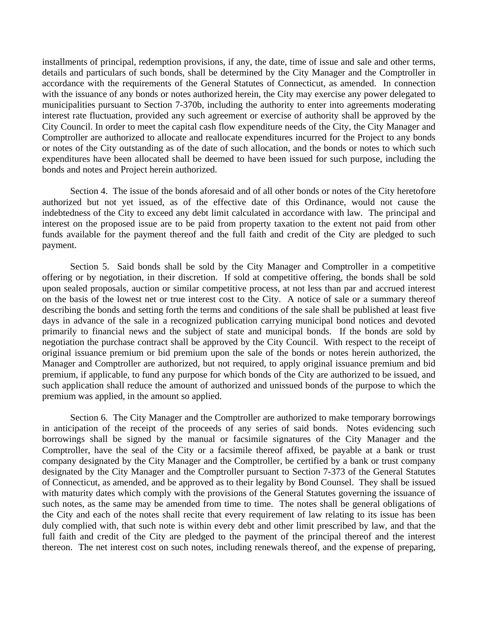installments of principal, redemption provisions, if any, the date, time of issue and sale and other terms, details and particulars of such bonds, shall be determined by the City Manager and the Comptroller in accordance with the requirements of the General Statutes of Connecticut, as amended. In connection with the issuance of any bonds or notes authorized herein, the City may exercise any power delegated to municipalities pursuant to Section 7-370b, including the authority to enter into agreements moderating interest rate fluctuation, provided any such agreement or exercise of authority shall be approved by the City Council. In order to meet the capital cash flow expenditure needs of the City, the City Manager and Comptroller are authorized to allocate and reallocate expenditures incurred for the Project to any bonds or notes of the City outstanding as of the date of such allocation, and the bonds or notes to which such expenditures have been allocated shall be deemed to have been issued for such purpose, including the bonds and notes and Project herein authorized.

Section 4. The issue of the bonds aforesaid and of all other bonds or notes of the City heretofore authorized but not yet issued, as of the effective date of this Ordinance, would not cause the indebtedness of the City to exceed any debt limit calculated in accordance with law. The principal and interest on the proposed issue are to be paid from property taxation to the extent not paid from other funds available for the payment thereof and the full faith and credit of the City are pledged to such payment.

Section 5. Said bonds shall be sold by the City Manager and Comptroller in a competitive offering or by negotiation, in their discretion. If sold at competitive offering, the bonds shall be sold upon sealed proposals, auction or similar competitive process, at not less than par and accrued interest on the basis of the lowest net or true interest cost to the City. A notice of sale or a summary thereof describing the bonds and setting forth the terms and conditions of the sale shall be published at least five days in advance of the sale in a recognized publication carrying municipal bond notices and devoted primarily to financial news and the subject of state and municipal bonds. If the bonds are sold by negotiation the purchase contract shall be approved by the City Council. With respect to the receipt of original issuance premium or bid premium upon the sale of the bonds or notes herein authorized, the Manager and Comptroller are authorized, but not required, to apply original issuance premium and bid premium, if applicable, to fund any purpose for which bonds of the City are authorized to be issued, and such application shall reduce the amount of authorized and unissued bonds of the purpose to which the premium was applied, in the amount so applied.

Section 6. The City Manager and the Comptroller are authorized to make temporary borrowings in anticipation of the receipt of the proceeds of any series of said bonds. Notes evidencing such borrowings shall be signed by the manual or facsimile signatures of the City Manager and the Comptroller, have the seal of the City or a facsimile thereof affixed, be payable at a bank or trust company designated by the City Manager and the Comptroller, be certified by a bank or trust company designated by the City Manager and the Comptroller pursuant to Section 7-373 of the General Statutes of Connecticut, as amended, and be approved as to their legality by Bond Counsel. They shall be issued with maturity dates which comply with the provisions of the General Statutes governing the issuance of such notes, as the same may be amended from time to time. The notes shall be general obligations of the City and each of the notes shall recite that every requirement of law relating to its issue has been duly complied with, that such note is within every debt and other limit prescribed by law, and that the full faith and credit of the City are pledged to the payment of the principal thereof and the interest thereon. The net interest cost on such notes, including renewals thereof, and the expense of preparing,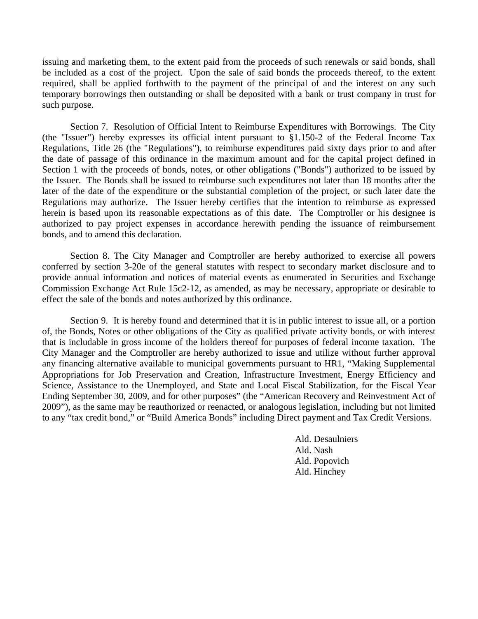issuing and marketing them, to the extent paid from the proceeds of such renewals or said bonds, shall be included as a cost of the project. Upon the sale of said bonds the proceeds thereof, to the extent required, shall be applied forthwith to the payment of the principal of and the interest on any such temporary borrowings then outstanding or shall be deposited with a bank or trust company in trust for such purpose.

Section 7. Resolution of Official Intent to Reimburse Expenditures with Borrowings. The City (the "Issuer") hereby expresses its official intent pursuant to §1.150-2 of the Federal Income Tax Regulations, Title 26 (the "Regulations"), to reimburse expenditures paid sixty days prior to and after the date of passage of this ordinance in the maximum amount and for the capital project defined in Section 1 with the proceeds of bonds, notes, or other obligations ("Bonds") authorized to be issued by the Issuer. The Bonds shall be issued to reimburse such expenditures not later than 18 months after the later of the date of the expenditure or the substantial completion of the project, or such later date the Regulations may authorize. The Issuer hereby certifies that the intention to reimburse as expressed herein is based upon its reasonable expectations as of this date. The Comptroller or his designee is authorized to pay project expenses in accordance herewith pending the issuance of reimbursement bonds, and to amend this declaration.

Section 8. The City Manager and Comptroller are hereby authorized to exercise all powers conferred by section 3-20e of the general statutes with respect to secondary market disclosure and to provide annual information and notices of material events as enumerated in Securities and Exchange Commission Exchange Act Rule 15c2-12, as amended, as may be necessary, appropriate or desirable to effect the sale of the bonds and notes authorized by this ordinance.

Section 9. It is hereby found and determined that it is in public interest to issue all, or a portion of, the Bonds, Notes or other obligations of the City as qualified private activity bonds, or with interest that is includable in gross income of the holders thereof for purposes of federal income taxation. The City Manager and the Comptroller are hereby authorized to issue and utilize without further approval any financing alternative available to municipal governments pursuant to HR1, "Making Supplemental Appropriations for Job Preservation and Creation, Infrastructure Investment, Energy Efficiency and Science, Assistance to the Unemployed, and State and Local Fiscal Stabilization, for the Fiscal Year Ending September 30, 2009, and for other purposes" (the "American Recovery and Reinvestment Act of 2009"), as the same may be reauthorized or reenacted, or analogous legislation, including but not limited to any "tax credit bond," or "Build America Bonds" including Direct payment and Tax Credit Versions.

> Ald. Desaulniers Ald. Nash Ald. Popovich Ald. Hinchey